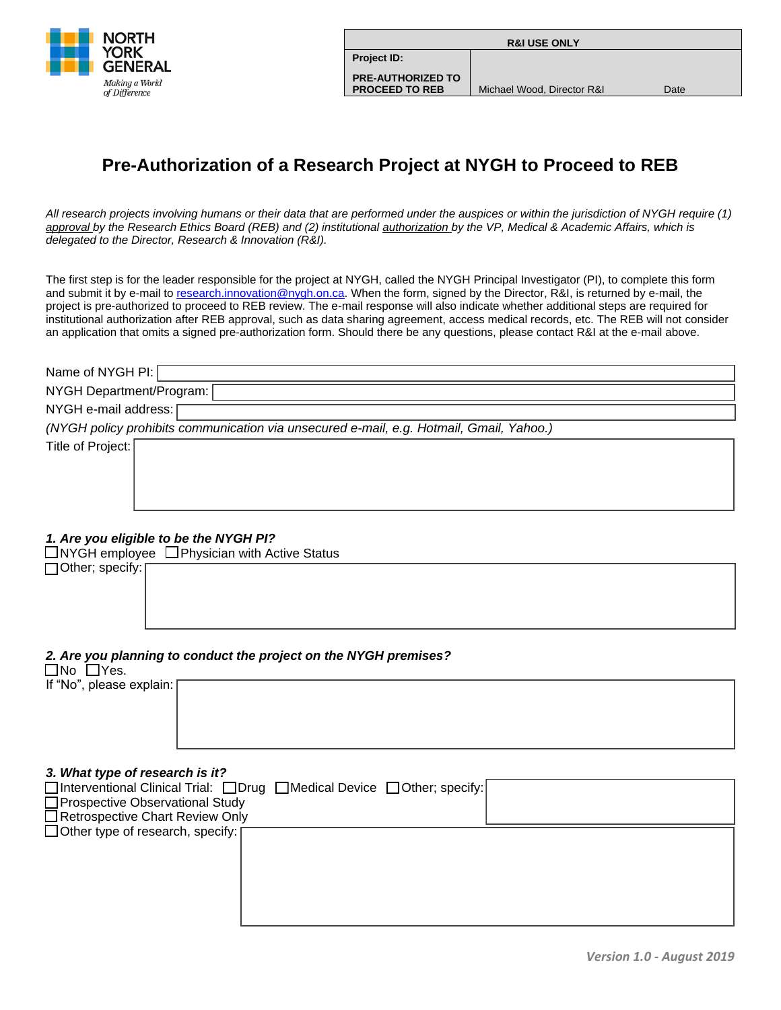

| <b>R&amp;I USE ONLY</b>                           |                            |      |
|---------------------------------------------------|----------------------------|------|
| <b>Project ID:</b>                                |                            |      |
| <b>PRE-AUTHORIZED TO</b><br><b>PROCEED TO REB</b> | Michael Wood, Director R&I | Date |
|                                                   |                            |      |

# **Pre-Authorization of a Research Project at NYGH to Proceed to REB**

*All research projects involving humans or their data that are performed under the auspices or within the jurisdiction of NYGH require (1) approval by the Research Ethics Board (REB) and (2) institutional authorization by the VP, Medical & Academic Affairs, which is delegated to the Director, Research & Innovation (R&I).* 

The first step is for the leader responsible for the project at NYGH, called the NYGH Principal Investigator (PI), to complete this form and submit it by e-mail to [research.innovation@nygh.on.ca.](mailto:research.innovation@nygh.on.ca) When the form, signed by the Director, R&I, is returned by e-mail, the project is pre-authorized to proceed to REB review. The e-mail response will also indicate whether additional steps are required for institutional authorization after REB approval, such as data sharing agreement, access medical records, etc. The REB will not consider an application that omits a signed pre-authorization form. Should there be any questions, please contact R&I at the e-mail above.

| Name of NYGH PI:                                                                                          |  |  |  |  |
|-----------------------------------------------------------------------------------------------------------|--|--|--|--|
| NYGH Department/Program:                                                                                  |  |  |  |  |
| NYGH e-mail address:                                                                                      |  |  |  |  |
| (NYGH policy prohibits communication via unsecured e-mail, e.g. Hotmail, Gmail, Yahoo.)                   |  |  |  |  |
| Title of Project:                                                                                         |  |  |  |  |
|                                                                                                           |  |  |  |  |
|                                                                                                           |  |  |  |  |
|                                                                                                           |  |  |  |  |
|                                                                                                           |  |  |  |  |
|                                                                                                           |  |  |  |  |
| 1. Are you eligible to be the NYGH PI?                                                                    |  |  |  |  |
| $\Box$ NYGH employee $\Box$ Physician with Active Status<br>□ Other; specify:                             |  |  |  |  |
|                                                                                                           |  |  |  |  |
|                                                                                                           |  |  |  |  |
|                                                                                                           |  |  |  |  |
|                                                                                                           |  |  |  |  |
|                                                                                                           |  |  |  |  |
| 2. Are you planning to conduct the project on the NYGH premises?<br>$\Box$ No $\Box$ Yes.                 |  |  |  |  |
| If "No", please explain:                                                                                  |  |  |  |  |
|                                                                                                           |  |  |  |  |
|                                                                                                           |  |  |  |  |
|                                                                                                           |  |  |  |  |
|                                                                                                           |  |  |  |  |
|                                                                                                           |  |  |  |  |
| 3. What type of research is it?<br>□Interventional Clinical Trial: □Drug □Medical Device □Other; specify: |  |  |  |  |
| Prospective Observational Study                                                                           |  |  |  |  |
| □ Retrospective Chart Review Only                                                                         |  |  |  |  |
| $\Box$ Other type of research, specify: [                                                                 |  |  |  |  |